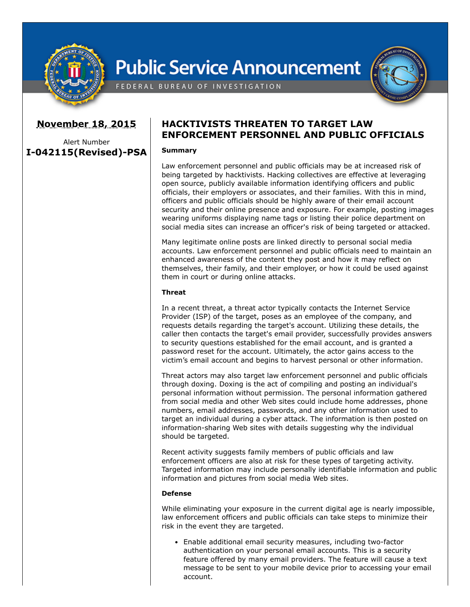

# **Public Service Announcement**

FEDERAL BUREAU OF INVESTIGATION

# **November 18, 2015**

Alert Number **I-042115(Revised)-PSA**

# **HACKTIVISTS THREATEN TO TARGET LAW ENFORCEMENT PERSONNEL AND PUBLIC OFFICIALS**

### **Summary**

Law enforcement personnel and public officials may be at increased risk of being targeted by hacktivists. Hacking collectives are effective at leveraging open source, publicly available information identifying officers and public officials, their employers or associates, and their families. With this in mind, officers and public officials should be highly aware of their email account security and their online presence and exposure. For example, posting images wearing uniforms displaying name tags or listing their police department on social media sites can increase an officer's risk of being targeted or attacked.

Many legitimate online posts are linked directly to personal social media accounts. Law enforcement personnel and public officials need to maintain an enhanced awareness of the content they post and how it may reflect on themselves, their family, and their employer, or how it could be used against them in court or during online attacks.

### **Threat**

In a recent threat, a threat actor typically contacts the Internet Service Provider (ISP) of the target, poses as an employee of the company, and requests details regarding the target's account. Utilizing these details, the caller then contacts the target's email provider, successfully provides answers to security questions established for the email account, and is granted a password reset for the account. Ultimately, the actor gains access to the victim's email account and begins to harvest personal or other information.

Threat actors may also target law enforcement personnel and public officials through doxing. Doxing is the act of compiling and posting an individual's personal information without permission. The personal information gathered from social media and other Web sites could include home addresses, phone numbers, email addresses, passwords, and any other information used to target an individual during a cyber attack. The information is then posted on information-sharing Web sites with details suggesting why the individual should be targeted.

Recent activity suggests family members of public officials and law enforcement officers are also at risk for these types of targeting activity. Targeted information may include personally identifiable information and public information and pictures from social media Web sites.

### **Defense**

While eliminating your exposure in the current digital age is nearly impossible, law enforcement officers and public officials can take steps to minimize their risk in the event they are targeted.

Enable additional email security measures, including two-factor authentication on your personal email accounts. This is a security feature offered by many email providers. The feature will cause a text message to be sent to your mobile device prior to accessing your email account.